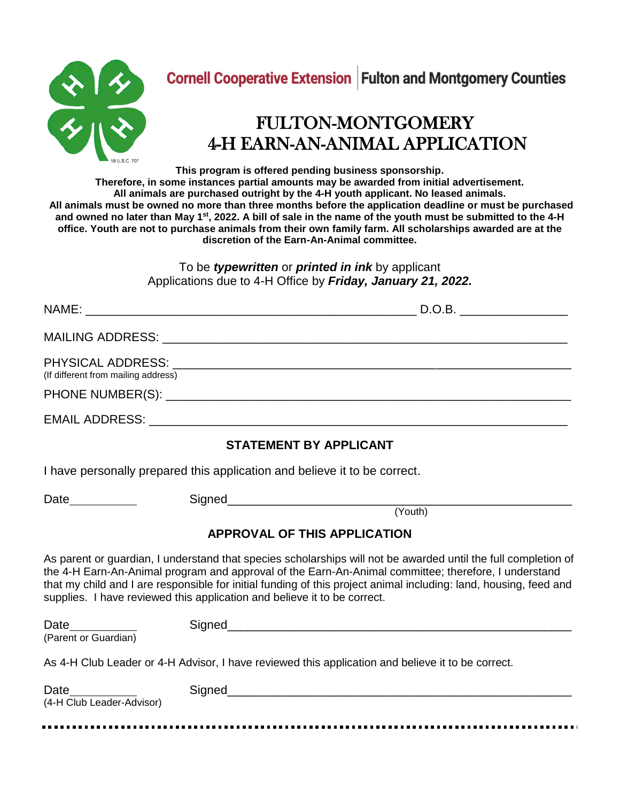

## FULTON-MONTGOMERY 4-H EARN-AN-ANIMAL APPLICATION

**This program is offered pending business sponsorship.** 

**Therefore, in some instances partial amounts may be awarded from initial advertisement. All animals are purchased outright by the 4-H youth applicant. No leased animals. All animals must be owned no more than three months before the application deadline or must be purchased and owned no later than May 1 st, 2022. A bill of sale in the name of the youth must be submitted to the 4-H office. Youth are not to purchase animals from their own family farm. All scholarships awarded are at the discretion of the Earn-An-Animal committee.** 

> To be *typewritten* or *printed in ink* by applicant Applications due to 4-H Office by *Friday, January 21, 2022.*

| (If different from mailing address)                                          |                                                                                                                                                                                                                                                                                                                                                                                                                         |
|------------------------------------------------------------------------------|-------------------------------------------------------------------------------------------------------------------------------------------------------------------------------------------------------------------------------------------------------------------------------------------------------------------------------------------------------------------------------------------------------------------------|
|                                                                              |                                                                                                                                                                                                                                                                                                                                                                                                                         |
|                                                                              | <b>STATEMENT BY APPLICANT</b>                                                                                                                                                                                                                                                                                                                                                                                           |
|                                                                              | I have personally prepared this application and believe it to be correct.                                                                                                                                                                                                                                                                                                                                               |
| Date___________                                                              | (Youth)                                                                                                                                                                                                                                                                                                                                                                                                                 |
|                                                                              | <b>APPROVAL OF THIS APPLICATION</b>                                                                                                                                                                                                                                                                                                                                                                                     |
|                                                                              | As parent or guardian, I understand that species scholarships will not be awarded until the full completion of<br>the 4-H Earn-An-Animal program and approval of the Earn-An-Animal committee; therefore, I understand<br>that my child and I are responsible for initial funding of this project animal including: land, housing, feed and<br>supplies. I have reviewed this application and believe it to be correct. |
| Date_________<br>(Parent or Guardian)                                        |                                                                                                                                                                                                                                                                                                                                                                                                                         |
|                                                                              | As 4-H Club Leader or 4-H Advisor, I have reviewed this application and believe it to be correct.                                                                                                                                                                                                                                                                                                                       |
| <b>Date Contract Contract Contract Contract</b><br>(4-H Club Leader-Advisor) |                                                                                                                                                                                                                                                                                                                                                                                                                         |
|                                                                              |                                                                                                                                                                                                                                                                                                                                                                                                                         |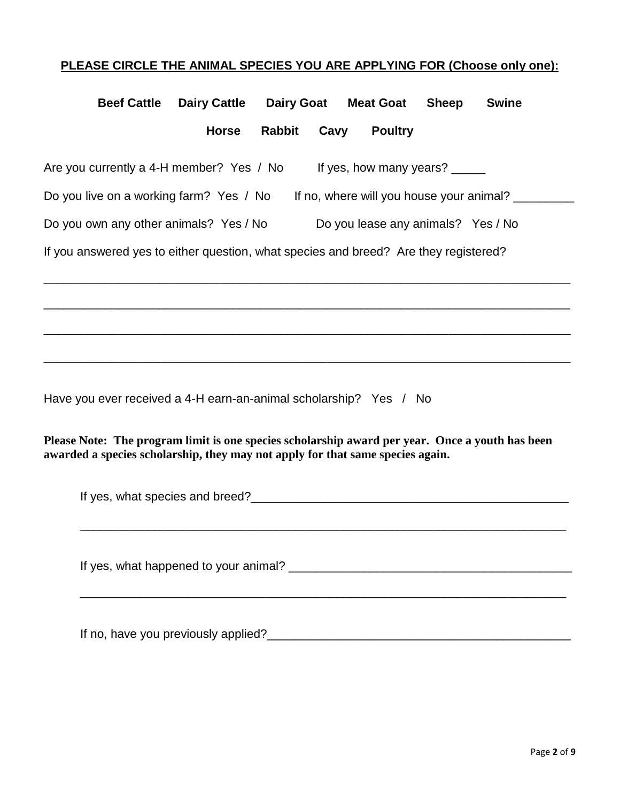## **PLEASE CIRCLE THE ANIMAL SPECIES YOU ARE APPLYING FOR (Choose only one):**

| <b>Beef Cattle</b> | <b>Dairy Cattle</b>                                                                  | <b>Dairy Goat</b> |      | <b>Meat Goat</b>                   | <b>Sheep</b> | <b>Swine</b>                             |  |
|--------------------|--------------------------------------------------------------------------------------|-------------------|------|------------------------------------|--------------|------------------------------------------|--|
|                    | <b>Horse</b>                                                                         | <b>Rabbit</b>     | Cavy | <b>Poultry</b>                     |              |                                          |  |
|                    | Are you currently a 4-H member? Yes / No                                             |                   |      | If yes, how many years?            |              |                                          |  |
|                    | Do you live on a working farm? Yes / No                                              |                   |      |                                    |              | If no, where will you house your animal? |  |
|                    | Do you own any other animals? Yes / No                                               |                   |      | Do you lease any animals? Yes / No |              |                                          |  |
|                    | If you answered yes to either question, what species and breed? Are they registered? |                   |      |                                    |              |                                          |  |

\_\_\_\_\_\_\_\_\_\_\_\_\_\_\_\_\_\_\_\_\_\_\_\_\_\_\_\_\_\_\_\_\_\_\_\_\_\_\_\_\_\_\_\_\_\_\_\_\_\_\_\_\_\_\_\_\_\_\_\_\_\_\_\_\_\_\_\_\_\_\_\_\_\_\_\_\_\_

\_\_\_\_\_\_\_\_\_\_\_\_\_\_\_\_\_\_\_\_\_\_\_\_\_\_\_\_\_\_\_\_\_\_\_\_\_\_\_\_\_\_\_\_\_\_\_\_\_\_\_\_\_\_\_\_\_\_\_\_\_\_\_\_\_\_\_\_\_\_\_\_\_\_\_\_\_\_

\_\_\_\_\_\_\_\_\_\_\_\_\_\_\_\_\_\_\_\_\_\_\_\_\_\_\_\_\_\_\_\_\_\_\_\_\_\_\_\_\_\_\_\_\_\_\_\_\_\_\_\_\_\_\_\_\_\_\_\_\_\_\_\_\_\_\_\_\_\_\_\_\_\_\_\_\_\_

\_\_\_\_\_\_\_\_\_\_\_\_\_\_\_\_\_\_\_\_\_\_\_\_\_\_\_\_\_\_\_\_\_\_\_\_\_\_\_\_\_\_\_\_\_\_\_\_\_\_\_\_\_\_\_\_\_\_\_\_\_\_\_\_\_\_\_\_\_\_\_\_\_\_\_\_\_\_

Have you ever received a 4-H earn-an-animal scholarship? Yes / No

**Please Note: The program limit is one species scholarship award per year. Once a youth has been awarded a species scholarship, they may not apply for that same species again.** 

| If no, have you previously applied? |
|-------------------------------------|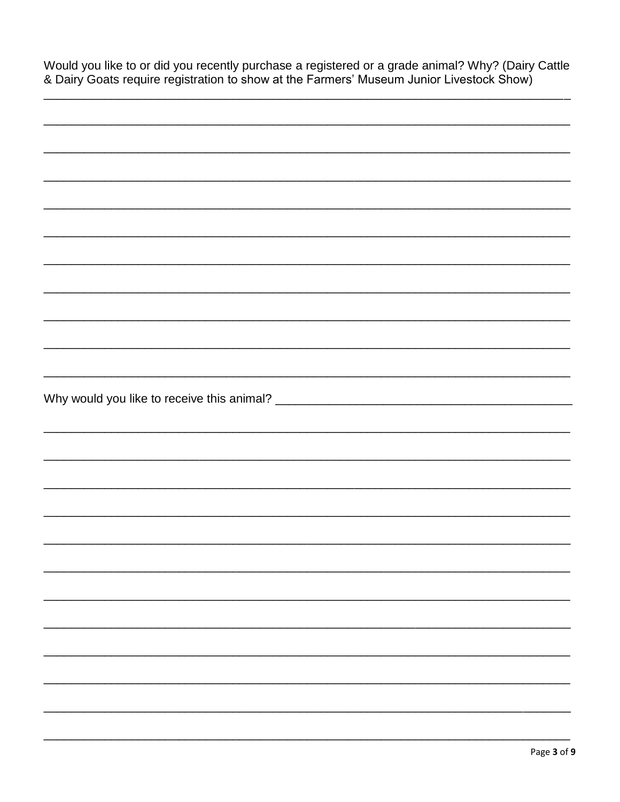| Would you like to or did you recently purchase a registered or a grade animal? Why? (Dairy Cattle |  |
|---------------------------------------------------------------------------------------------------|--|
| & Dairy Goats require registration to show at the Farmers' Museum Junior Livestock Show)          |  |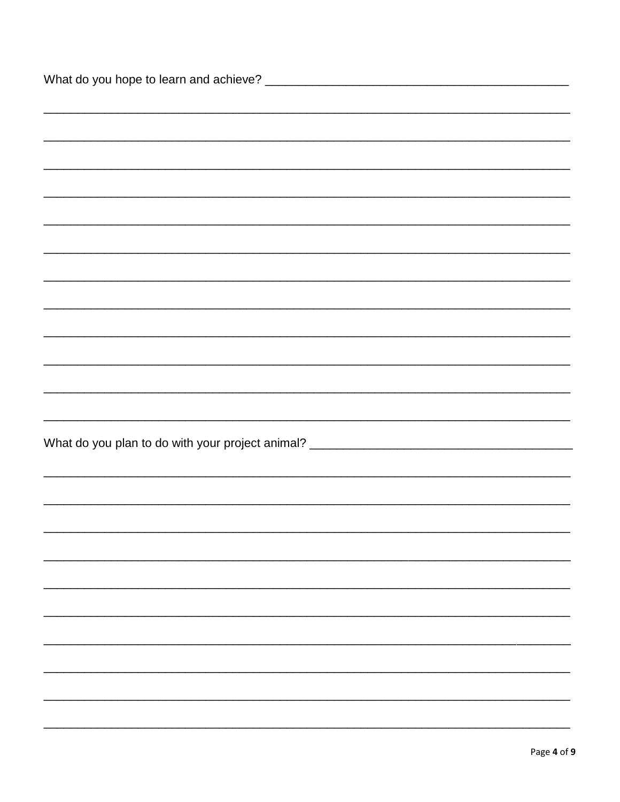| ,我们也不能会在这里,我们也不能会在这里,我们也不能会在这里,我们也不能会在这里,我们也不能会在这里,我们也不能会在这里,我们也不能会在这里,我们也不能会不能会 |
|----------------------------------------------------------------------------------|
|                                                                                  |
|                                                                                  |
|                                                                                  |
| What do you plan to do with your project animal? _______________________________ |
|                                                                                  |
|                                                                                  |
|                                                                                  |
|                                                                                  |
|                                                                                  |
|                                                                                  |
|                                                                                  |
|                                                                                  |
|                                                                                  |
|                                                                                  |
|                                                                                  |
|                                                                                  |
|                                                                                  |
|                                                                                  |
|                                                                                  |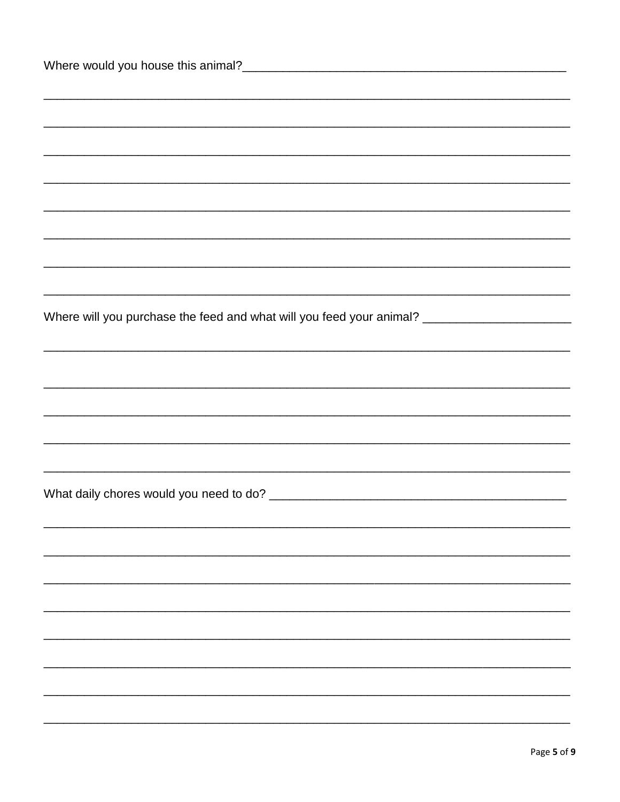| Where will you purchase the feed and what will you feed your animal? ______________________________ |
|-----------------------------------------------------------------------------------------------------|
|                                                                                                     |
|                                                                                                     |
|                                                                                                     |
|                                                                                                     |
|                                                                                                     |
|                                                                                                     |
|                                                                                                     |
|                                                                                                     |
|                                                                                                     |
|                                                                                                     |
|                                                                                                     |
|                                                                                                     |
|                                                                                                     |
|                                                                                                     |
|                                                                                                     |
|                                                                                                     |
|                                                                                                     |
|                                                                                                     |
|                                                                                                     |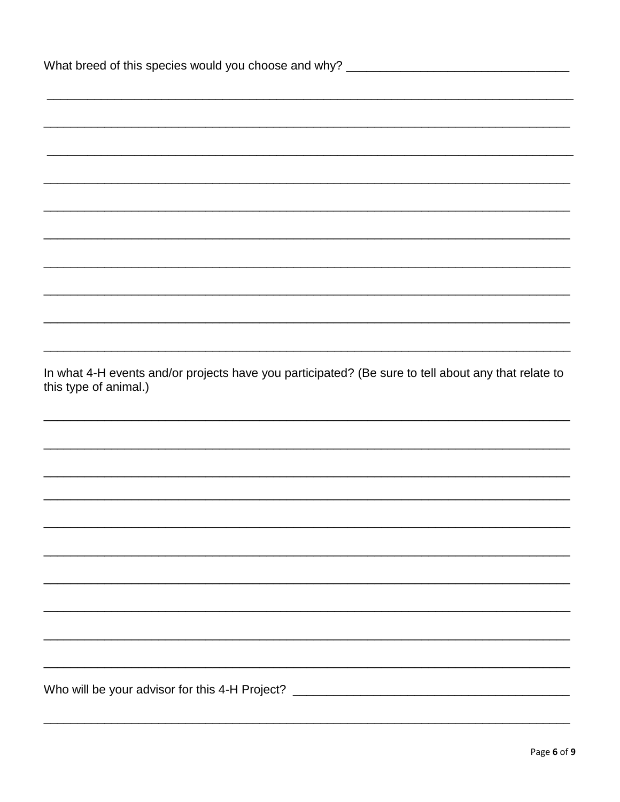| What breed of this species would you choose and why? ____________________________                                            |  |
|------------------------------------------------------------------------------------------------------------------------------|--|
|                                                                                                                              |  |
|                                                                                                                              |  |
|                                                                                                                              |  |
|                                                                                                                              |  |
|                                                                                                                              |  |
|                                                                                                                              |  |
|                                                                                                                              |  |
|                                                                                                                              |  |
|                                                                                                                              |  |
|                                                                                                                              |  |
|                                                                                                                              |  |
| In what 4-H events and/or projects have you participated? (Be sure to tell about any that relate to<br>this type of animal.) |  |
|                                                                                                                              |  |
|                                                                                                                              |  |
|                                                                                                                              |  |
|                                                                                                                              |  |
|                                                                                                                              |  |
|                                                                                                                              |  |
|                                                                                                                              |  |
|                                                                                                                              |  |
|                                                                                                                              |  |
|                                                                                                                              |  |
|                                                                                                                              |  |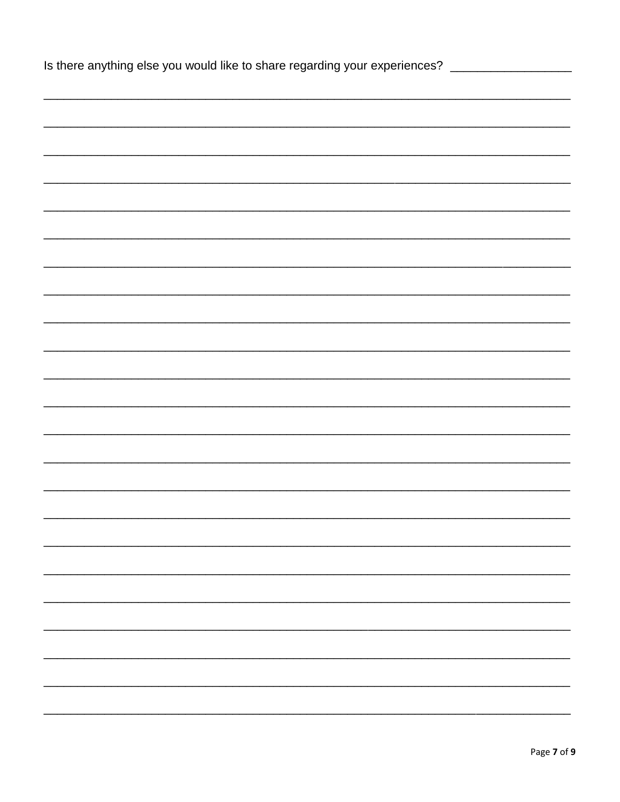| Is there anything else you would like to share regarding your experiences? ___________________ |
|------------------------------------------------------------------------------------------------|
|                                                                                                |
|                                                                                                |
|                                                                                                |
|                                                                                                |
|                                                                                                |
|                                                                                                |
|                                                                                                |
|                                                                                                |
|                                                                                                |
|                                                                                                |
|                                                                                                |
|                                                                                                |
|                                                                                                |
|                                                                                                |
|                                                                                                |
|                                                                                                |
|                                                                                                |
|                                                                                                |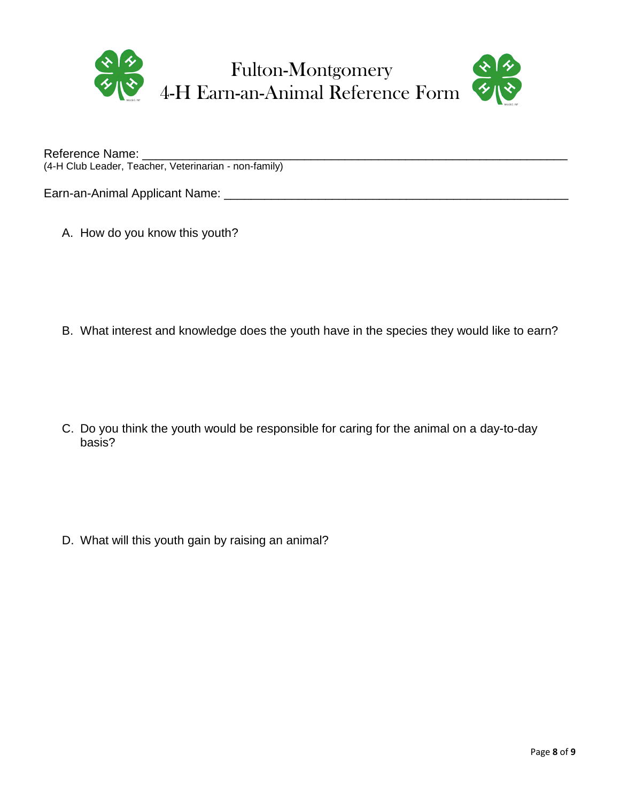

Reference Name: \_\_\_\_\_\_\_\_\_\_\_\_\_\_\_\_\_\_\_\_\_\_\_\_\_\_\_\_\_\_\_\_\_\_\_\_\_\_\_\_\_\_\_\_\_\_\_\_\_\_\_\_\_\_\_\_\_\_\_\_\_\_\_ (4-H Club Leader, Teacher, Veterinarian - non-family)

Earn-an-Animal Applicant Name: \_\_\_\_\_\_\_\_\_\_\_\_\_\_\_\_\_\_\_\_\_\_\_\_\_\_\_\_\_\_\_\_\_\_\_\_\_\_\_\_\_\_\_\_\_\_\_\_\_\_\_

A. How do you know this youth?

B. What interest and knowledge does the youth have in the species they would like to earn?

C. Do you think the youth would be responsible for caring for the animal on a day-to-day basis?

D. What will this youth gain by raising an animal?